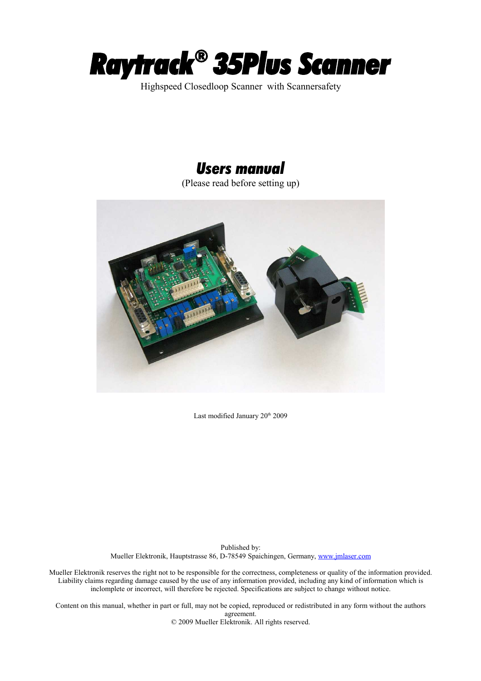

Highspeed Closedloop Scanner with Scannersafety

# *Users manual*

(Please read before setting up)



Last modified January 20<sup>th</sup> 2009

Published by: Mueller Elektronik, Hauptstrasse 86, D-78549 Spaichingen, Germany, [www.jmlaser.com](http://www.jmlaser.com/)

Mueller Elektronik reserves the right not to be responsible for the correctness, completeness or quality of the information provided. Liability claims regarding damage caused by the use of any information provided, including any kind of information which is inclomplete or incorrect, will therefore be rejected. Specifications are subject to change without notice.

Content on this manual, whether in part or full, may not be copied, reproduced or redistributed in any form without the authors agreement. © 2009 Mueller Elektronik. All rights reserved.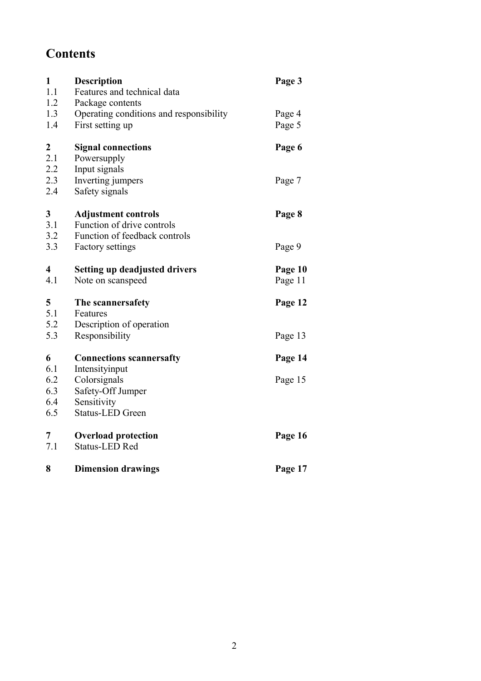# **Contents**

| $\mathbf{1}$<br>1.1     | <b>Description</b><br>Features and technical data | Page 3  |
|-------------------------|---------------------------------------------------|---------|
| 1.2                     | Package contents                                  |         |
| 1.3                     | Operating conditions and responsibility           | Page 4  |
| 1.4                     | First setting up                                  | Page 5  |
| 2                       | <b>Signal connections</b>                         | Page 6  |
| 2.1                     | Powersupply                                       |         |
| 2.2                     | Input signals                                     |         |
| 2.3                     | Inverting jumpers                                 | Page 7  |
| 2.4                     | Safety signals                                    |         |
| 3                       | <b>Adjustment controls</b>                        | Page 8  |
| 3.1                     | Function of drive controls                        |         |
| 3.2                     | Function of feedback controls                     |         |
| 3.3                     | Factory settings                                  | Page 9  |
| $\overline{\mathbf{4}}$ | <b>Setting up deadjusted drivers</b>              | Page 10 |
| 4.1                     | Note on scanspeed                                 | Page 11 |
| 5                       | The scanners afety                                | Page 12 |
| 5.1                     | Features                                          |         |
| 5.2                     | Description of operation                          |         |
| 5.3                     | Responsibility                                    | Page 13 |
| 6                       | <b>Connections scannersafty</b>                   | Page 14 |
| 6.1                     | Intensityinput                                    |         |
| 6.2                     | Colorsignals                                      | Page 15 |
| 6.3                     | Safety-Off Jumper                                 |         |
| 6.4                     | Sensitivity                                       |         |
| 6.5                     | <b>Status-LED Green</b>                           |         |
| 7                       | <b>Overload protection</b>                        | Page 16 |
| 7.1                     | <b>Status-LED Red</b>                             |         |
| 8                       | <b>Dimension drawings</b>                         | Page 17 |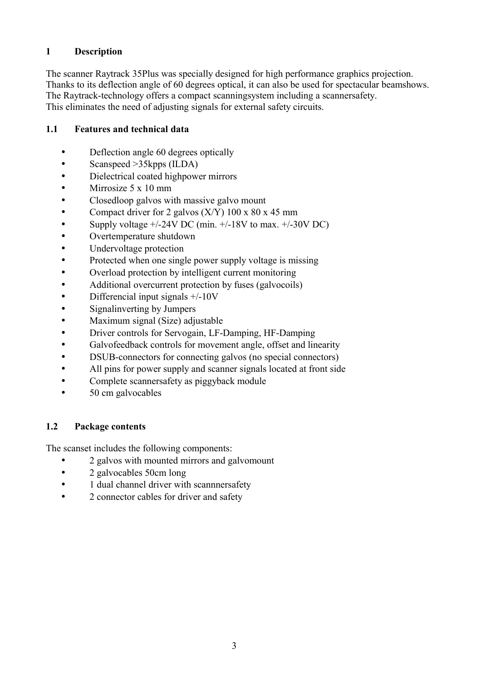# **1 Description**

The scanner Raytrack 35Plus was specially designed for high performance graphics projection. Thanks to its deflection angle of 60 degrees optical, it can also be used for spectacular beamshows. The Raytrack-technology offers a compact scanningsystem including a scannersafety. This eliminates the need of adjusting signals for external safety circuits.

## **1.1 Features and technical data**

- Deflection angle 60 degrees optically
- Scanspeed >35kpps (ILDA)
- Dielectrical coated highpower mirrors
- Mirrosize 5 x 10 mm
- Closedloop galvos with massive galvo mount
- Compact driver for 2 galvos  $(X/Y)$  100 x 80 x 45 mm
- Supply voltage  $+/-24V$  DC (min.  $+/-18V$  to max.  $+/-30V$  DC)
- Overtemperature shutdown
- Undervoltage protection
- Protected when one single power supply voltage is missing
- Overload protection by intelligent current monitoring
- Additional overcurrent protection by fuses (galvocoils)
- Differencial input signals +/-10V
- Signalinverting by Jumpers
- Maximum signal (Size) adjustable
- Driver controls for Servogain, LF-Damping, HF-Damping
- Galvofeedback controls for movement angle, offset and linearity
- DSUB-connectors for connecting galvos (no special connectors)
- All pins for power supply and scanner signals located at front side
- Complete scanners afety as piggyback module
- 50 cm galvocables

#### **1.2 Package contents**

The scanset includes the following components:

- 2 galvos with mounted mirrors and galvomount
- 2 galvocables 50cm long
- 1 dual channel driver with scanners afety
- 2 connector cables for driver and safety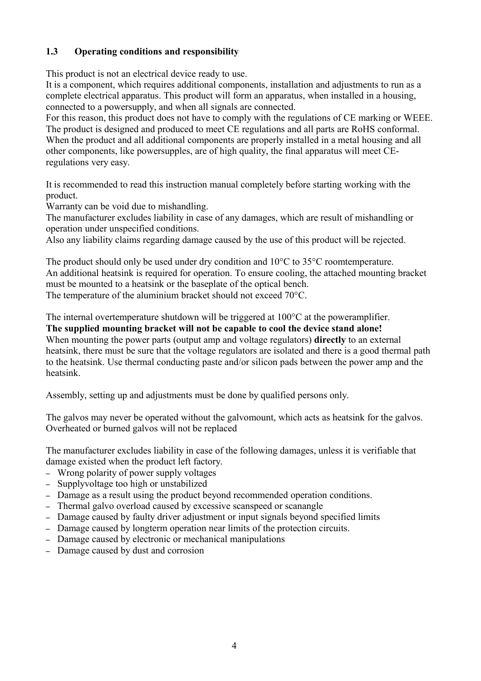# **1.3 Operating conditions and responsibility**

This product is not an electrical device ready to use.

It is a component, which requires additional components, installation and adjustments to run as a complete electrical apparatus. This product will form an apparatus, when installed in a housing, connected to a powersupply, and when all signals are connected.

For this reason, this product does not have to comply with the regulations of CE marking or WEEE. The product is designed and produced to meet CE regulations and all parts are RoHS conformal. When the product and all additional components are properly installed in a metal housing and all other components, like powersupples, are of high quality, the final apparatus will meet CEregulations very easy.

It is recommended to read this instruction manual completely before starting working with the product.

Warranty can be void due to mishandling.

The manufacturer excludes liability in case of any damages, which are result of mishandling or operation under unspecified conditions.

Also any liability claims regarding damage caused by the use of this product will be rejected.

The product should only be used under dry condition and 10°C to 35°C roomtemperature. An additional heatsink is required for operation. To ensure cooling, the attached mounting bracket must be mounted to a heatsink or the baseplate of the optical bench. The temperature of the aluminium bracket should not exceed 70°C.

The internal overtemperature shutdown will be triggered at 100°C at the poweramplifier. **The supplied mounting bracket will not be capable to cool the device stand alone!** When mounting the power parts (output amp and voltage regulators) **directly** to an external heatsink, there must be sure that the voltage regulators are isolated and there is a good thermal path to the heatsink. Use thermal conducting paste and/or silicon pads between the power amp and the heatsink.

Assembly, setting up and adjustments must be done by qualified persons only.

The galvos may never be operated without the galvomount, which acts as heatsink for the galvos. Overheated or burned galvos will not be replaced

The manufacturer excludes liability in case of the following damages, unless it is verifiable that damage existed when the product left factory.

- Wrong polarity of power supply voltages
- Supplyvoltage too high or unstabilized
- Damage as a result using the product beyond recommended operation conditions.
- Thermal galvo overload caused by excessive scanspeed or scanangle
- Damage caused by faulty driver adjustment or input signals beyond specified limits
- Damage caused by longterm operation near limits of the protection circuits.
- Damage caused by electronic or mechanical manipulations
- Damage caused by dust and corrosion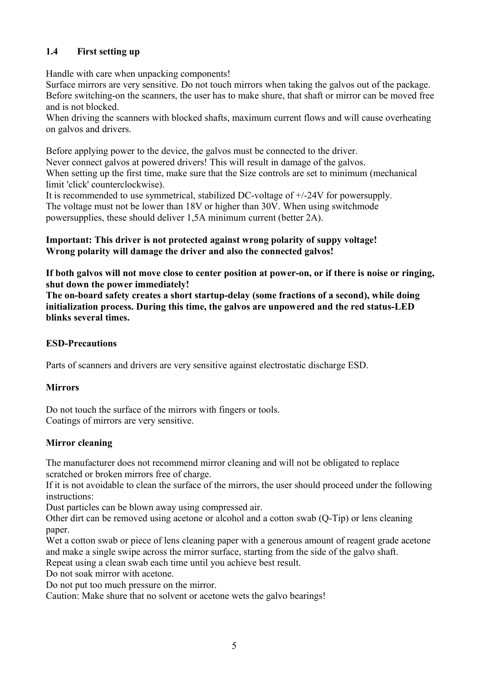# **1.4 First setting up**

Handle with care when unpacking components!

Surface mirrors are very sensitive. Do not touch mirrors when taking the galvos out of the package. Before switching-on the scanners, the user has to make shure, that shaft or mirror can be moved free and is not blocked.

When driving the scanners with blocked shafts, maximum current flows and will cause overheating on galvos and drivers.

Before applying power to the device, the galvos must be connected to the driver.

Never connect galvos at powered drivers! This will result in damage of the galvos. When setting up the first time, make sure that the Size controls are set to minimum (mechanical limit 'click' counterclockwise).

It is recommended to use symmetrical, stabilized DC-voltage of +/-24V for powersupply. The voltage must not be lower than 18V or higher than 30V. When using switchmode powersupplies, these should deliver 1,5A minimum current (better 2A).

#### **Important: This driver is not protected against wrong polarity of suppy voltage! Wrong polarity will damage the driver and also the connected galvos!**

**If both galvos will not move close to center position at power-on, or if there is noise or ringing, shut down the power immediately!**

**The on-board safety creates a short startup-delay (some fractions of a second), while doing initialization process. During this time, the galvos are unpowered and the red status-LED blinks several times.**

# **ESD-Precautions**

Parts of scanners and drivers are very sensitive against electrostatic discharge ESD.

# **Mirrors**

Do not touch the surface of the mirrors with fingers or tools. Coatings of mirrors are very sensitive.

# **Mirror cleaning**

The manufacturer does not recommend mirror cleaning and will not be obligated to replace scratched or broken mirrors free of charge.

If it is not avoidable to clean the surface of the mirrors, the user should proceed under the following instructions:

Dust particles can be blown away using compressed air.

Other dirt can be removed using acetone or alcohol and a cotton swab (Q-Tip) or lens cleaning paper.

Wet a cotton swab or piece of lens cleaning paper with a generous amount of reagent grade acetone and make a single swipe across the mirror surface, starting from the side of the galvo shaft. Repeat using a clean swab each time until you achieve best result.

Do not soak mirror with acetone.

Do not put too much pressure on the mirror.

Caution: Make shure that no solvent or acetone wets the galvo bearings!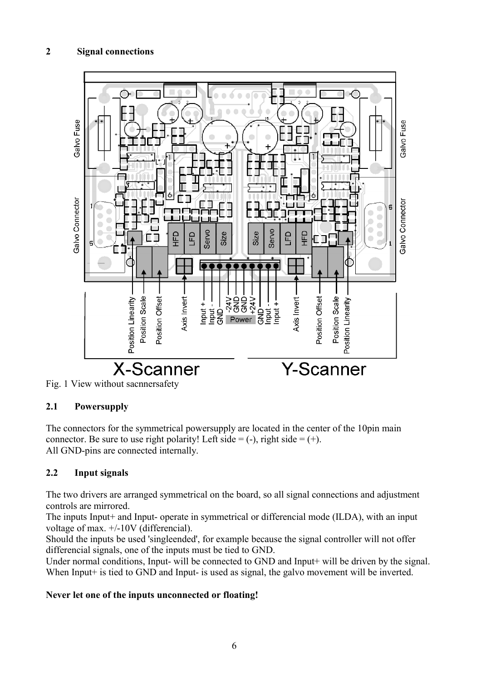# **2 Signal connections**





# **2.1 Powersupply**

The connectors for the symmetrical powersupply are located in the center of the 10pin main connector. Be sure to use right polarity! Left side  $= (-)$ , right side  $= (+)$ . All GND-pins are connected internally.

# **2.2 Input signals**

The two drivers are arranged symmetrical on the board, so all signal connections and adjustment controls are mirrored.

The inputs Input+ and Input- operate in symmetrical or differencial mode (ILDA), with an input voltage of max. +/-10V (differencial).

Should the inputs be used 'singleended', for example because the signal controller will not offer differencial signals, one of the inputs must be tied to GND.

Under normal conditions, Input- will be connected to GND and Input+ will be driven by the signal. When Input<sup>+</sup> is tied to GND and Input- is used as signal, the galvo movement will be inverted.

#### **Never let one of the inputs unconnected or floating!**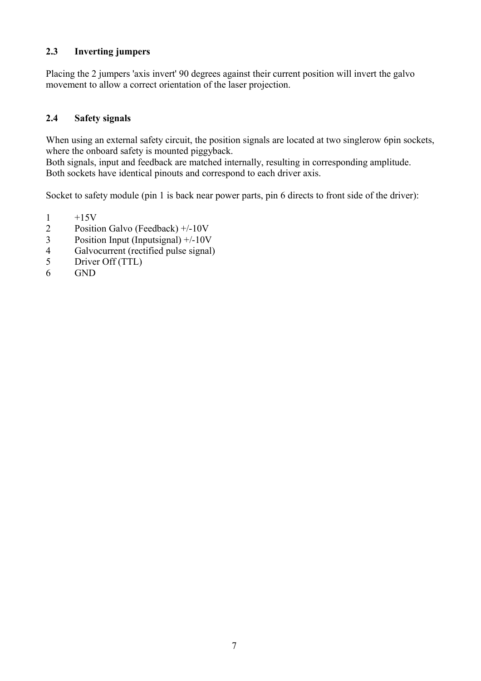## **2.3 Inverting jumpers**

Placing the 2 jumpers 'axis invert' 90 degrees against their current position will invert the galvo movement to allow a correct orientation of the laser projection.

#### **2.4 Safety signals**

When using an external safety circuit, the position signals are located at two singlerow 6pin sockets, where the onboard safety is mounted piggyback.

Both signals, input and feedback are matched internally, resulting in corresponding amplitude. Both sockets have identical pinouts and correspond to each driver axis.

Socket to safety module (pin 1 is back near power parts, pin 6 directs to front side of the driver):

- $\frac{1}{2}$  +15V<br>Positie
- Position Galvo (Feedback) +/-10V
- 3 Position Input (Inputsignal) +/-10V
- 4 Galvocurrent (rectified pulse signal)<br>5 Driver Off (TTL)
- Driver Off (TTL)
- 6 GND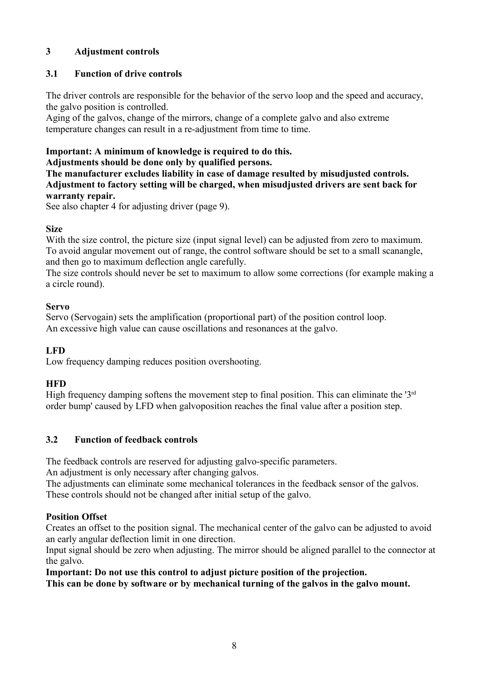# **3 Adjustment controls**

#### **3.1 Function of drive controls**

The driver controls are responsible for the behavior of the servo loop and the speed and accuracy, the galvo position is controlled.

Aging of the galvos, change of the mirrors, change of a complete galvo and also extreme temperature changes can result in a re-adjustment from time to time.

# **Important: A minimum of knowledge is required to do this.**

**Adjustments should be done only by qualified persons.**

**The manufacturer excludes liability in case of damage resulted by misudjusted controls. Adjustment to factory setting will be charged, when misudjusted drivers are sent back for warranty repair.**

See also chapter 4 for adjusting driver (page 9).

#### **Size**

With the size control, the picture size (input signal level) can be adjusted from zero to maximum. To avoid angular movement out of range, the control software should be set to a small scanangle, and then go to maximum deflection angle carefully.

The size controls should never be set to maximum to allow some corrections (for example making a a circle round).

#### **Servo**

Servo (Servogain) sets the amplification (proportional part) of the position control loop. An excessive high value can cause oscillations and resonances at the galvo.

#### **LFD**

Low frequency damping reduces position overshooting.

#### **HFD**

High frequency damping softens the movement step to final position. This can eliminate the ' $3<sup>rd</sup>$ order bump' caused by LFD when galvoposition reaches the final value after a position step.

#### **3.2 Function of feedback controls**

The feedback controls are reserved for adjusting galvo-specific parameters.

An adjustment is only necessary after changing galvos.

The adjustments can eliminate some mechanical tolerances in the feedback sensor of the galvos. These controls should not be changed after initial setup of the galvo.

# **Position Offset**

Creates an offset to the position signal. The mechanical center of the galvo can be adjusted to avoid an early angular deflection limit in one direction.

Input signal should be zero when adjusting. The mirror should be aligned parallel to the connector at the galvo.

**Important: Do not use this control to adjust picture position of the projection.**

**This can be done by software or by mechanical turning of the galvos in the galvo mount.**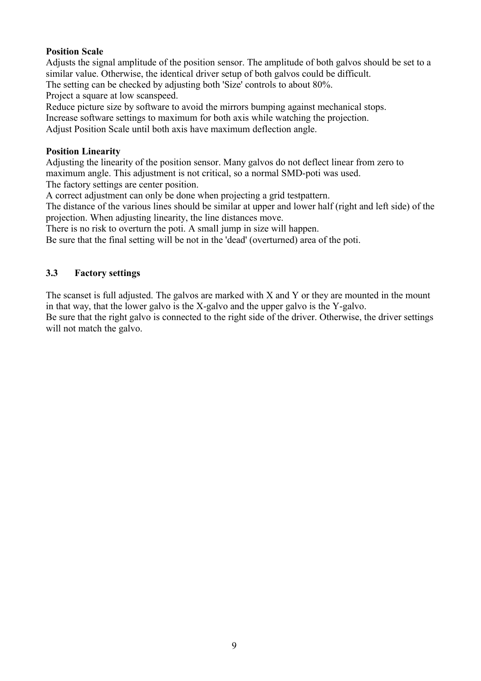#### **Position Scale**

Adjusts the signal amplitude of the position sensor. The amplitude of both galvos should be set to a similar value. Otherwise, the identical driver setup of both galvos could be difficult.

The setting can be checked by adjusting both 'Size' controls to about 80%.

Project a square at low scanspeed.

Reduce picture size by software to avoid the mirrors bumping against mechanical stops.

Increase software settings to maximum for both axis while watching the projection.

Adjust Position Scale until both axis have maximum deflection angle.

#### **Position Linearity**

Adjusting the linearity of the position sensor. Many galvos do not deflect linear from zero to maximum angle. This adjustment is not critical, so a normal SMD-poti was used. The factory settings are center position.

A correct adjustment can only be done when projecting a grid testpattern.

The distance of the various lines should be similar at upper and lower half (right and left side) of the projection. When adjusting linearity, the line distances move.

There is no risk to overturn the poti. A small jump in size will happen.

Be sure that the final setting will be not in the 'dead' (overturned) area of the poti.

#### **3.3 Factory settings**

The scanset is full adjusted. The galvos are marked with X and Y or they are mounted in the mount in that way, that the lower galvo is the X-galvo and the upper galvo is the Y-galvo.

Be sure that the right galvo is connected to the right side of the driver. Otherwise, the driver settings will not match the galvo.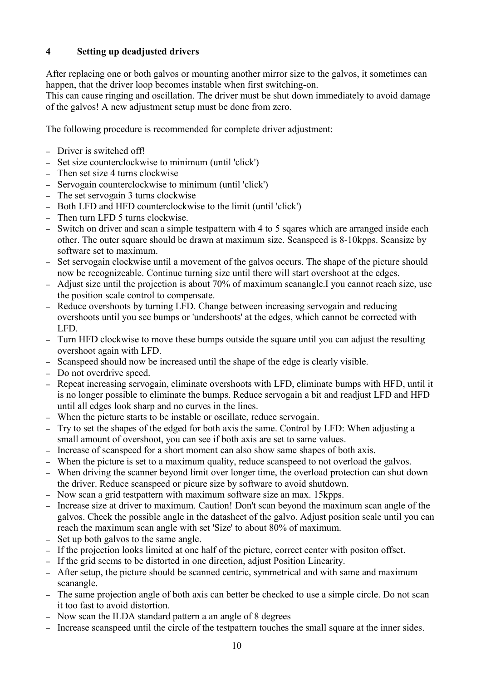# **4 Setting up deadjusted drivers**

After replacing one or both galvos or mounting another mirror size to the galvos, it sometimes can happen, that the driver loop becomes instable when first switching-on.

This can cause ringing and oscillation. The driver must be shut down immediately to avoid damage of the galvos! A new adjustment setup must be done from zero.

The following procedure is recommended for complete driver adjustment:

- Driver is switched off!
- Set size counterclockwise to minimum (until 'click')
- Then set size 4 turns clockwise
- Servogain counterclockwise to minimum (until 'click')
- The set servogain 3 turns clockwise
- Both LFD and HFD counterclockwise to the limit (until 'click')
- Then turn LFD 5 turns clockwise.
- Switch on driver and scan a simple testpattern with 4 to 5 sqares which are arranged inside each other. The outer square should be drawn at maximum size. Scanspeed is 8-10kpps. Scansize by software set to maximum.
- Set servogain clockwise until a movement of the galvos occurs. The shape of the picture should now be recognizeable. Continue turning size until there will start overshoot at the edges.
- Adjust size until the projection is about 70% of maximum scanangle.I you cannot reach size, use the position scale control to compensate.
- Reduce overshoots by turning LFD. Change between increasing servogain and reducing overshoots until you see bumps or 'undershoots' at the edges, which cannot be corrected with LFD.
- Turn HFD clockwise to move these bumps outside the square until you can adjust the resulting overshoot again with LFD.
- Scanspeed should now be increased until the shape of the edge is clearly visible.
- Do not overdrive speed.
- Repeat increasing servogain, eliminate overshoots with LFD, eliminate bumps with HFD, until it is no longer possible to eliminate the bumps. Reduce servogain a bit and readjust LFD and HFD until all edges look sharp and no curves in the lines.
- When the picture starts to be instable or oscillate, reduce servogain.
- Try to set the shapes of the edged for both axis the same. Control by LFD: When adjusting a small amount of overshoot, you can see if both axis are set to same values.
- Increase of scanspeed for a short moment can also show same shapes of both axis.
- When the picture is set to a maximum quality, reduce scanspeed to not overload the galvos.
- When driving the scanner beyond limit over longer time, the overload protection can shut down the driver. Reduce scanspeed or picure size by software to avoid shutdown.
- Now scan a grid testpattern with maximum software size an max. 15kpps.
- Increase size at driver to maximum. Caution! Don't scan beyond the maximum scan angle of the galvos. Check the possible angle in the datasheet of the galvo. Adjust position scale until you can reach the maximum scan angle with set 'Size' to about 80% of maximum.
- Set up both galvos to the same angle.
- If the projection looks limited at one half of the picture, correct center with positon offset.
- If the grid seems to be distorted in one direction, adjust Position Linearity.
- After setup, the picture should be scanned centric, symmetrical and with same and maximum scanangle.
- The same projection angle of both axis can better be checked to use a simple circle. Do not scan it too fast to avoid distortion.
- Now scan the ILDA standard pattern a an angle of 8 degrees
- Increase scanspeed until the circle of the testpattern touches the small square at the inner sides.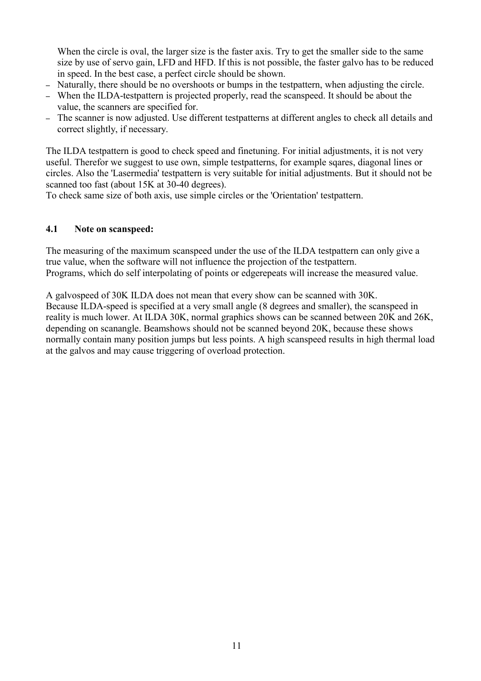When the circle is oval, the larger size is the faster axis. Try to get the smaller side to the same size by use of servo gain, LFD and HFD. If this is not possible, the faster galvo has to be reduced in speed. In the best case, a perfect circle should be shown.

- Naturally, there should be no overshoots or bumps in the testpattern, when adjusting the circle.
- When the ILDA-testpattern is projected properly, read the scanspeed. It should be about the value, the scanners are specified for.
- The scanner is now adjusted. Use different testpatterns at different angles to check all details and correct slightly, if necessary.

The ILDA testpattern is good to check speed and finetuning. For initial adjustments, it is not very useful. Therefor we suggest to use own, simple testpatterns, for example sqares, diagonal lines or circles. Also the 'Lasermedia' testpattern is very suitable for initial adjustments. But it should not be scanned too fast (about 15K at 30-40 degrees).

To check same size of both axis, use simple circles or the 'Orientation' testpattern.

#### **4.1 Note on scanspeed:**

The measuring of the maximum scanspeed under the use of the ILDA testpattern can only give a true value, when the software will not influence the projection of the testpattern. Programs, which do self interpolating of points or edgerepeats will increase the measured value.

A galvospeed of 30K ILDA does not mean that every show can be scanned with 30K. Because ILDA-speed is specified at a very small angle (8 degrees and smaller), the scanspeed in reality is much lower. At ILDA 30K, normal graphics shows can be scanned between 20K and 26K, depending on scanangle. Beamshows should not be scanned beyond 20K, because these shows normally contain many position jumps but less points. A high scanspeed results in high thermal load at the galvos and may cause triggering of overload protection.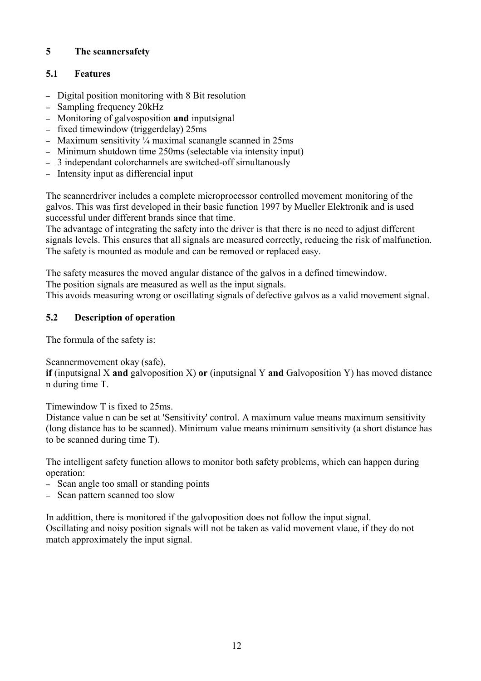# **5 The scannersafety**

# **5.1 Features**

- Digital position monitoring with 8 Bit resolution
- Sampling frequency 20kHz
- Monitoring of galvosposition **and** inputsignal
- fixed timewindow (triggerdelay) 25ms
- Maximum sensitivity  $\frac{1}{4}$  maximal scanangle scanned in 25ms
- Minimum shutdown time 250ms (selectable via intensity input)
- 3 independant colorchannels are switched-off simultanously
- Intensity input as differencial input

The scannerdriver includes a complete microprocessor controlled movement monitoring of the galvos. This was first developed in their basic function 1997 by Mueller Elektronik and is used successful under different brands since that time.

The advantage of integrating the safety into the driver is that there is no need to adjust different signals levels. This ensures that all signals are measured correctly, reducing the risk of malfunction. The safety is mounted as module and can be removed or replaced easy.

The safety measures the moved angular distance of the galvos in a defined timewindow. The position signals are measured as well as the input signals.

This avoids measuring wrong or oscillating signals of defective galvos as a valid movement signal.

# **5.2 Description of operation**

The formula of the safety is:

Scannermovement okay (safe),

**if** (inputsignal X **and** galvoposition X) **or** (inputsignal Y **and** Galvoposition Y) has moved distance n during time T.

Timewindow T is fixed to 25ms.

Distance value n can be set at 'Sensitivity' control. A maximum value means maximum sensitivity (long distance has to be scanned). Minimum value means minimum sensitivity (a short distance has to be scanned during time T).

The intelligent safety function allows to monitor both safety problems, which can happen during operation:

- Scan angle too small or standing points
- Scan pattern scanned too slow

In addittion, there is monitored if the galvoposition does not follow the input signal. Oscillating and noisy position signals will not be taken as valid movement vlaue, if they do not match approximately the input signal.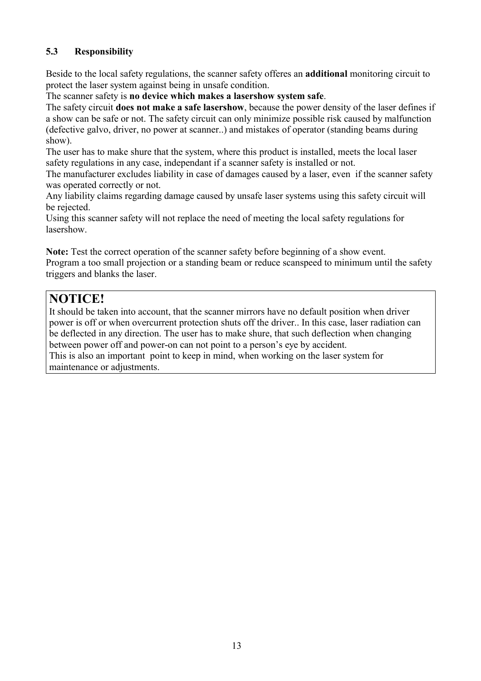# **5.3 Responsibility**

Beside to the local safety regulations, the scanner safety offeres an **additional** monitoring circuit to protect the laser system against being in unsafe condition.

The scanner safety is **no device which makes a lasershow system safe**.

The safety circuit **does not make a safe lasershow**, because the power density of the laser defines if a show can be safe or not. The safety circuit can only minimize possible risk caused by malfunction (defective galvo, driver, no power at scanner..) and mistakes of operator (standing beams during show).

The user has to make shure that the system, where this product is installed, meets the local laser safety regulations in any case, independant if a scanner safety is installed or not.

The manufacturer excludes liability in case of damages caused by a laser, even if the scanner safety was operated correctly or not.

Any liability claims regarding damage caused by unsafe laser systems using this safety circuit will be rejected.

Using this scanner safety will not replace the need of meeting the local safety regulations for lasershow.

**Note:** Test the correct operation of the scanner safety before beginning of a show event. Program a too small projection or a standing beam or reduce scanspeed to minimum until the safety triggers and blanks the laser.

# **NOTICE!**

It should be taken into account, that the scanner mirrors have no default position when driver power is off or when overcurrent protection shuts off the driver.. In this case, laser radiation can be deflected in any direction. The user has to make shure, that such deflection when changing between power off and power-on can not point to a person's eye by accident. This is also an important point to keep in mind, when working on the laser system for maintenance or adjustments.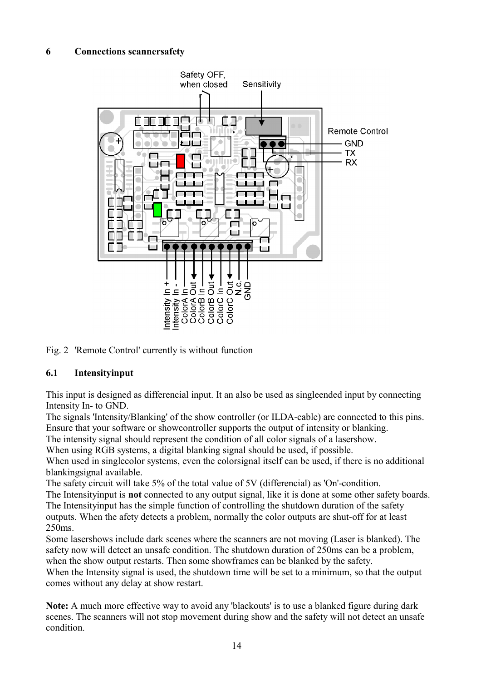#### **6 Connections scannersafety**



Fig. 2 'Remote Control' currently is without function

#### **6.1 Intensityinput**

This input is designed as differencial input. It an also be used as singleended input by connecting Intensity In- to GND.

The signals 'Intensity/Blanking' of the show controller (or ILDA-cable) are connected to this pins. Ensure that your software or showcontroller supports the output of intensity or blanking.

The intensity signal should represent the condition of all color signals of a lasershow.

When using RGB systems, a digital blanking signal should be used, if possible.

When used in singlecolor systems, even the colorsignal itself can be used, if there is no additional blankingsignal available.

The safety circuit will take 5% of the total value of 5V (differencial) as 'On'-condition.

The Intensityinput is **not** connected to any output signal, like it is done at some other safety boards. The Intensityinput has the simple function of controlling the shutdown duration of the safety outputs. When the afety detects a problem, normally the color outputs are shut-off for at least 250ms.

Some lasershows include dark scenes where the scanners are not moving (Laser is blanked). The safety now will detect an unsafe condition. The shutdown duration of 250ms can be a problem, when the show output restarts. Then some showframes can be blanked by the safety.

When the Intensity signal is used, the shutdown time will be set to a minimum, so that the output comes without any delay at show restart.

**Note:** A much more effective way to avoid any 'blackouts' is to use a blanked figure during dark scenes. The scanners will not stop movement during show and the safety will not detect an unsafe condition.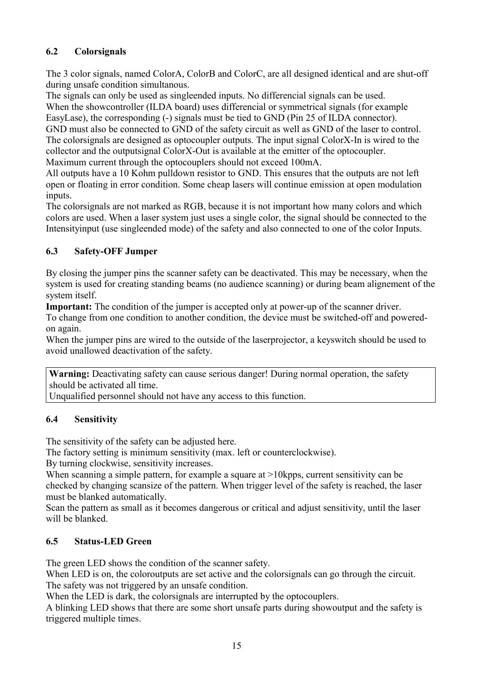# **6.2 Colorsignals**

The 3 color signals, named ColorA, ColorB and ColorC, are all designed identical and are shut-off during unsafe condition simultanous.

The signals can only be used as singleended inputs. No differencial signals can be used. When the showcontroller (ILDA board) uses differencial or symmetrical signals (for example EasyLase), the corresponding (-) signals must be tied to GND (Pin 25 of ILDA connector). GND must also be connected to GND of the safety circuit as well as GND of the laser to control. The colorsignals are designed as optocoupler outputs. The input signal ColorX-In is wired to the collector and the outputsignal ColorX-Out is available at the emitter of the optocoupler.

Maximum current through the optocouplers should not exceed 100mA.

All outputs have a 10 Kohm pulldown resistor to GND. This ensures that the outputs are not left open or floating in error condition. Some cheap lasers will continue emission at open modulation inputs.

The colorsignals are not marked as RGB, because it is not important how many colors and which colors are used. When a laser system just uses a single color, the signal should be connected to the Intensityinput (use singleended mode) of the safety and also connected to one of the color Inputs.

# **6.3 Safety-OFF Jumper**

By closing the jumper pins the scanner safety can be deactivated. This may be necessary, when the system is used for creating standing beams (no audience scanning) or during beam alignement of the system itself.

**Important:** The condition of the jumper is accepted only at power-up of the scanner driver.

To change from one condition to another condition, the device must be switched-off and poweredon again.

When the jumper pins are wired to the outside of the laserprojector, a keyswitch should be used to avoid unallowed deactivation of the safety.

**Warning:** Deactivating safety can cause serious danger! During normal operation, the safety should be activated all time.

Unqualified personnel should not have any access to this function.

# **6.4 Sensitivity**

The sensitivity of the safety can be adjusted here.

The factory setting is minimum sensitivity (max. left or counterclockwise).

By turning clockwise, sensitivity increases.

When scanning a simple pattern, for example a square at >10kpps, current sensitivity can be checked by changing scansize of the pattern. When trigger level of the safety is reached, the laser must be blanked automatically.

Scan the pattern as small as it becomes dangerous or critical and adjust sensitivity, until the laser will be blanked.

# **6.5 Status-LED Green**

The green LED shows the condition of the scanner safety.

When LED is on, the coloroutputs are set active and the colorsignals can go through the circuit. The safety was not triggered by an unsafe condition.

When the LED is dark, the colorsignals are interrupted by the optocouplers.

A blinking LED shows that there are some short unsafe parts during showoutput and the safety is triggered multiple times.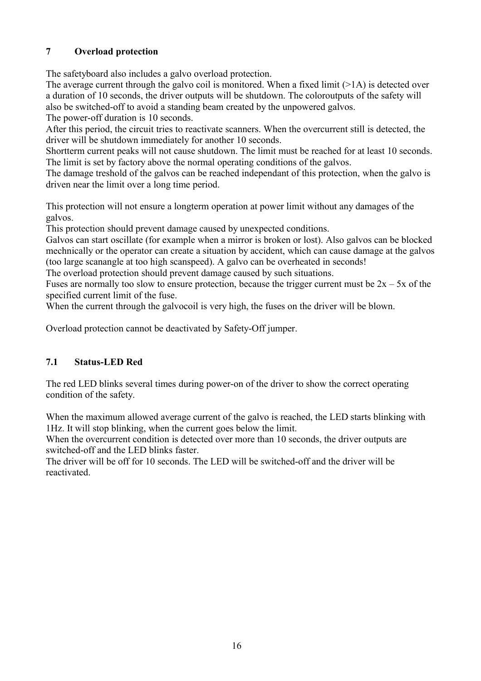# **7 Overload protection**

The safetyboard also includes a galvo overload protection.

The average current through the galvo coil is monitored. When a fixed limit  $(>1A)$  is detected over a duration of 10 seconds, the driver outputs will be shutdown. The coloroutputs of the safety will also be switched-off to avoid a standing beam created by the unpowered galvos.

The power-off duration is 10 seconds.

After this period, the circuit tries to reactivate scanners. When the overcurrent still is detected, the driver will be shutdown immediately for another 10 seconds.

Shortterm current peaks will not cause shutdown. The limit must be reached for at least 10 seconds. The limit is set by factory above the normal operating conditions of the galvos.

The damage treshold of the galvos can be reached independant of this protection, when the galvo is driven near the limit over a long time period.

This protection will not ensure a longterm operation at power limit without any damages of the galvos.

This protection should prevent damage caused by unexpected conditions.

Galvos can start oscillate (for example when a mirror is broken or lost). Also galvos can be blocked mechnically or the operator can create a situation by accident, which can cause damage at the galvos (too large scanangle at too high scanspeed). A galvo can be overheated in seconds!

The overload protection should prevent damage caused by such situations.

Fuses are normally too slow to ensure protection, because the trigger current must be  $2x - 5x$  of the specified current limit of the fuse.

When the current through the galvocoil is very high, the fuses on the driver will be blown.

Overload protection cannot be deactivated by Safety-Off jumper.

# **7.1 Status-LED Red**

The red LED blinks several times during power-on of the driver to show the correct operating condition of the safety.

When the maximum allowed average current of the galvo is reached, the LED starts blinking with 1Hz. It will stop blinking, when the current goes below the limit.

When the overcurrent condition is detected over more than 10 seconds, the driver outputs are switched-off and the LED blinks faster.

The driver will be off for 10 seconds. The LED will be switched-off and the driver will be reactivated.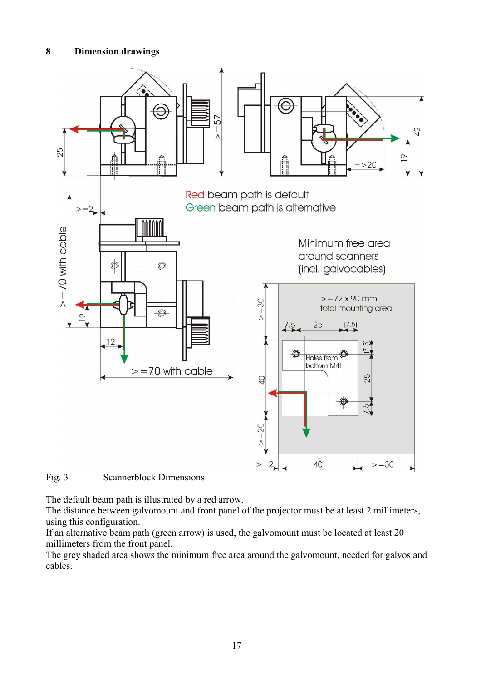

Fig. 3 Scannerblock Dimensions

The default beam path is illustrated by a red arrow.

The distance between galvomount and front panel of the projector must be at least 2 millimeters, using this configuration.

If an alternative beam path (green arrow) is used, the galvomount must be located at least 20 millimeters from the front panel.

The grey shaded area shows the minimum free area around the galvomount, needed for galvos and cables.